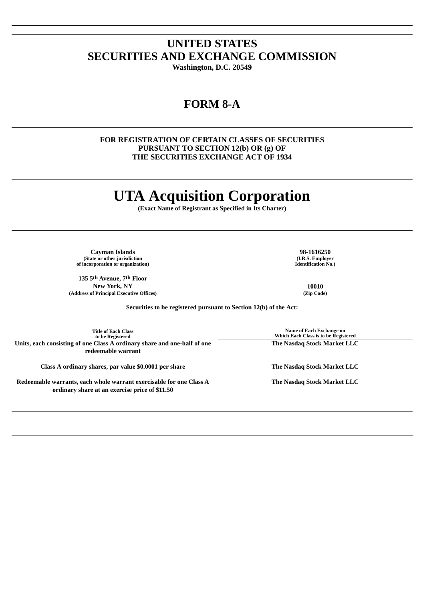## **UNITED STATES SECURITIES AND EXCHANGE COMMISSION**

**Washington, D.C. 20549**

## **FORM 8-A**

### **FOR REGISTRATION OF CERTAIN CLASSES OF SECURITIES PURSUANT TO SECTION 12(b) OR (g) OF THE SECURITIES EXCHANGE ACT OF 1934**

# **UTA Acquisition Corporation**

**(Exact Name of Registrant as Specified in Its Charter)**

**Cayman Islands 98-1616250 (State or other jurisdiction of incorporation or organization)**

**135 5th Avenue, 7th Floor New York, NY 10010 (Address of Principal Executive Offices) (Zip Code)**

**(I.R.S. Employer Identification No.)**

**Securities to be registered pursuant to Section 12(b) of the Act:**

| <b>Title of Each Class</b><br>to be Registered                                                                        | Name of Each Exchange on<br>Which Each Class is to be Registered |
|-----------------------------------------------------------------------------------------------------------------------|------------------------------------------------------------------|
| Units, each consisting of one Class A ordinary share and one-half of one<br>redeemable warrant                        | The Nasdag Stock Market LLC                                      |
| Class A ordinary shares, par value \$0.0001 per share                                                                 | The Nasdag Stock Market LLC                                      |
| Redeemable warrants, each whole warrant exercisable for one Class A<br>ordinary share at an exercise price of \$11.50 | The Nasdag Stock Market LLC                                      |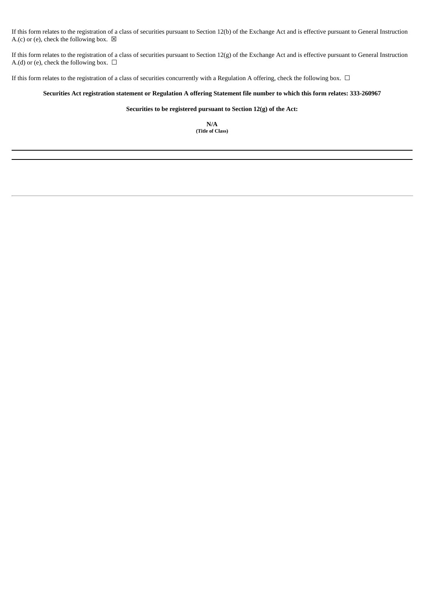If this form relates to the registration of a class of securities pursuant to Section 12(b) of the Exchange Act and is effective pursuant to General Instruction A.(c) or (e), check the following box.  $\boxtimes$ 

If this form relates to the registration of a class of securities pursuant to Section 12(g) of the Exchange Act and is effective pursuant to General Instruction A.(d) or (e), check the following box.  $\Box$ 

If this form relates to the registration of a class of securities concurrently with a Regulation A offering, check the following box.  $\Box$ 

#### Securities Act registration statement or Regulation A offering Statement file number to which this form relates: 333-260967

#### **Securities to be registered pursuant to Section 12(g) of the Act:**

**N/A (Title of Class)**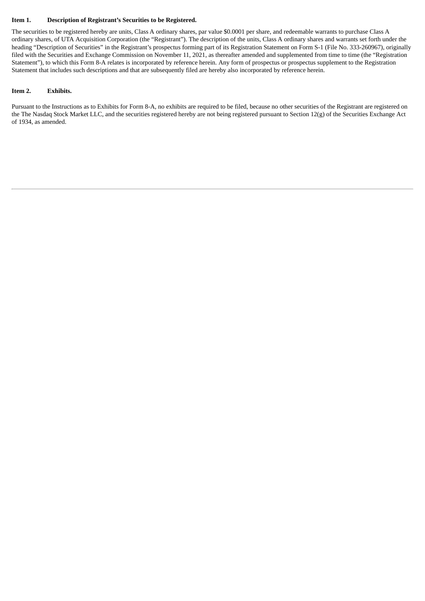#### **Item 1. Description of Registrant's Securities to be Registered.**

The securities to be registered hereby are units, Class A ordinary shares, par value \$0.0001 per share, and redeemable warrants to purchase Class A ordinary shares, of UTA Acquisition Corporation (the "Registrant"). The description of the units, Class A ordinary shares and warrants set forth under the heading "Description of Securities" in the Registrant's prospectus forming part of its Registration Statement on Form S-1 (File No. 333-260967), originally filed with the Securities and Exchange Commission on November 11, 2021, as thereafter amended and supplemented from time to time (the "Registration Statement"), to which this Form 8-A relates is incorporated by reference herein. Any form of prospectus or prospectus supplement to the Registration Statement that includes such descriptions and that are subsequently filed are hereby also incorporated by reference herein.

#### **Item 2. Exhibits.**

Pursuant to the Instructions as to Exhibits for Form 8-A, no exhibits are required to be filed, because no other securities of the Registrant are registered on the The Nasdaq Stock Market LLC, and the securities registered hereby are not being registered pursuant to Section 12(g) of the Securities Exchange Act of 1934, as amended.